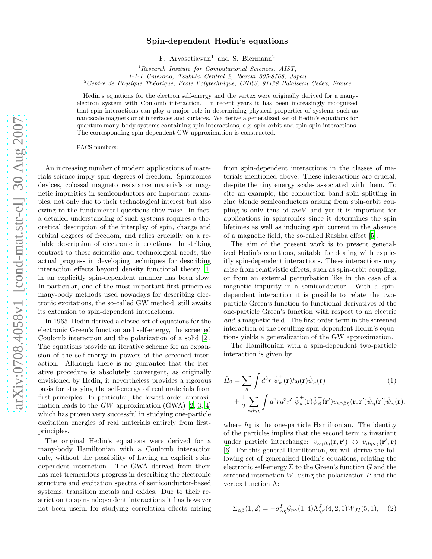## Spin-dependent Hedin's equations

F. Aryasetiawan<sup>1</sup> and S. Biermann<sup>2</sup>

 ${}^{1}$ Research Insitute for Computational Sciences, AIST,

1-1-1 Umezono, Tsukuba Central 2, Ibaraki 305-8568, Japan

 $2^{\circ}$ Centre de Physique Théorique, Ecole Polytechnique, CNRS, 91128 Palaiseau Cedex, France

Hedin's equations for the electron self-energy and the vertex were originally derived for a manyelectron system with Coulomb interaction. In recent years it has been increasingly recognized that spin interactions can play a major role in determining physical properties of systems such as nanoscale magnets or of interfaces and surfaces. We derive a generalized set of Hedin's equations for quantum many-body systems containing spin interactions, e.g. spin-orbit and spin-spin interactions. The corresponding spin-dependent GW approximation is constructed.

PACS numbers:

An increasing number of modern applications of materials science imply spin degrees of freedom. Spintronics devices, colossal magneto resistance materials or magnetic impurities in semiconductors are important examples, not only due to their technological interest but also owing to the fundamental questions they raise. In fact, a detailed understanding of such systems requires a theoretical description of the interplay of spin, charge and orbital degrees of freedom, and relies crucially on a reliable description of electronic interactions. In striking contrast to these scientific and technological needs, the actual progress in developing techniques for describing interaction effects beyond density functional theory [\[1](#page-4-0)] in an explicitly spin-dependent manner has been slow. In particular, one of the most important first principles many-body methods used nowadays for describing electronic excitations, the so-called GW method, still awaits its extension to spin-dependent interactions.

In 1965, Hedin derived a closed set of equations for the electronic Green's function and self-energy, the screened Coulomb interaction and the polarization of a solid [\[2\]](#page-4-1). The equations provide an iterative scheme for an expansion of the self-energy in powers of the screened interaction. Although there is no guarantee that the iterative procedure is absolutely convergent, as originally envisioned by Hedin, it nevertheless provides a rigorous basis for studying the self-energy of real materials from first-principles. In particular, the lowest order approximation leads to the  $GW$  approximation (GWA) [\[2](#page-4-1), [3](#page-4-2), [4](#page-4-3)] which has proven very successful in studying one-particle excitation energies of real materials entirely from firstprinciples.

The original Hedin's equations were derived for a many-body Hamiltonian with a Coulomb interaction only, without the possibility of having an explicit spindependent interaction. The GWA derived from them has met tremendous progress in describing the electronic structure and excitation spectra of semiconductor-based systems, transition metals and oxides. Due to their restriction to spin-independent interactions it has however not been useful for studying correlation effects arising

from spin-dependent interactions in the classes of materials mentioned above. These interactions are crucial, despite the tiny energy scales associated with them. To cite an example, the conduction band spin splitting in zinc blende semiconductors arising from spin-orbit coupling is only tens of  $meV$  and yet it is important for applications in spintronics since it determines the spin lifetimes as well as inducing spin current in the absence of a magnetic field, the so-called Rashba effect [\[5\]](#page-4-4).

The aim of the present work is to present generalized Hedin's equations, suitable for dealing with explicitly spin-dependent interactions. These interactions may arise from relativistic effects, such as spin-orbit coupling, or from an external perturbation like in the case of a magnetic impurity in a semiconductor. With a spindependent interaction it is possible to relate the twoparticle Green's function to functional derivatives of the one-particle Green's function with respect to an electric and a magnetic field. The first order term in the screened interaction of the resulting spin-dependent Hedin's equations yields a generalization of the GW approximation.

The Hamiltonian with a spin-dependent two-particle interaction is given by

$$
\hat{H}_0 = \sum_{\kappa} \int d^3 r \ \hat{\psi}_{\kappa}^{\dagger}(\mathbf{r}) h_0(\mathbf{r}) \hat{\psi}_{\kappa}(\mathbf{r}) \qquad (1)
$$
\n
$$
+ \frac{1}{2} \sum_{\kappa \beta \gamma \eta} \int d^3 r d^3 r' \ \hat{\psi}_{\kappa}^{\dagger}(\mathbf{r}) \hat{\psi}_{\beta}^{\dagger}(\mathbf{r}') v_{\kappa \gamma \beta \eta}(\mathbf{r}, \mathbf{r}') \hat{\psi}_{\eta}(\mathbf{r}') \hat{\psi}_{\gamma}(\mathbf{r}).
$$

where  $h_0$  is the one-particle Hamiltonian. The identity of the particles implies that the second term is invariant under particle interchange:  $v_{\kappa\gamma\beta\eta}(\mathbf{r}, \mathbf{r}') \leftrightarrow v_{\beta\eta\kappa\gamma}(\mathbf{r}', \mathbf{r})$ [\[6\]](#page-4-5). For this general Hamiltonian, we will derive the following set of generalized Hedin's equations, relating the electronic self-energy  $\Sigma$  to the Green's function G and the screened interaction  $W$ , using the polarization  $P$  and the vertex function Λ:

<span id="page-0-0"></span>
$$
\Sigma_{\alpha\beta}(1,2) = -\sigma_{\alpha\eta}^I \mathcal{G}_{\eta\gamma}(1,4) \Lambda_{\gamma\beta}^J(4,2,5) W_{JI}(5,1), \quad (2)
$$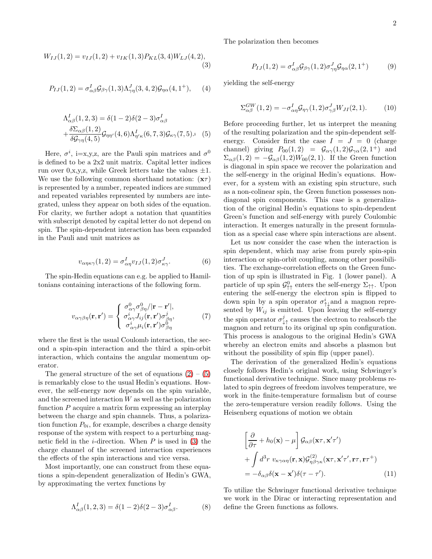<span id="page-1-1"></span>
$$
W_{IJ}(1,2) = v_{IJ}(1,2) + v_{IK}(1,3)P_{KL}(3,4)W_{LJ}(4,2),
$$
\n(3)

$$
P_{IJ}(1,2) = \sigma_{\alpha\beta}^I \mathcal{G}_{\beta\gamma}(1,3) \Lambda_{\gamma\eta}^J(3,4,2) \mathcal{G}_{\eta\alpha}(4,1^+), \qquad (4)
$$

<span id="page-1-0"></span>
$$
\Lambda_{\alpha\beta}^{I}(1,2,3) = \delta(1-2)\delta(2-3)\sigma_{\alpha\beta}^{I}
$$

$$
+\frac{\delta\Sigma_{\alpha\beta}(1,2)}{\delta\mathcal{G}_{\gamma\eta}(4,5)}\mathcal{G}_{\eta\eta'}(4,6)\Lambda_{\eta'\kappa}^{I}(6,7,3)\mathcal{G}_{\kappa\gamma}(7,5). (5)
$$

Here,  $\sigma^i$ , i=x,y,z, are the Pauli spin matrices and  $\sigma^0$ is defined to be a 2x2 unit matrix. Capital letter indices run over  $0, x, y, z$ , while Greek letters take the values  $\pm 1$ . We use the following common shorthand notation:  $(\mathbf{x}\tau)$ is represented by a number, repeated indices are summed and repeated variables represented by numbers are integrated, unless they appear on both sides of the equation. For clarity, we further adopt a notation that quantities with subscript denoted by capital letter do not depend on spin. The spin-dependent interaction has been expanded in the Pauli and unit matrices as

$$
v_{\alpha\eta\kappa\gamma}(1,2) = \sigma_{\alpha\eta}^I v_{IJ}(1,2)\sigma_{\kappa\gamma}^J.
$$
 (6)

The spin-Hedin equations can e.g. be applied to Hamiltonians containing interactions of the following form.

$$
v_{\alpha\gamma\beta\eta}(\mathbf{r}, \mathbf{r}') = \begin{cases} \sigma_{\alpha\gamma}^0 \sigma_{\beta\eta}^0 / |\mathbf{r} - \mathbf{r}'|, \\ \sigma_{\alpha\gamma}^i J_{ij}(\mathbf{r}, \mathbf{r}') \sigma_{\beta\eta}^j, \\ \sigma_{\alpha\gamma}^i \mu_i(\mathbf{r}, \mathbf{r}') \sigma_{\beta\eta}^0 \end{cases} \tag{7}
$$

where the first is the usual Coulomb interaction, the second a spin-spin interaction and the third a spin-orbit interaction, which contains the angular momentum operator.

The general structure of the set of equations  $(2) - (5)$  $(2) - (5)$ is remarkably close to the usual Hedin's equations. However, the self-energy now depends on the spin variable, and the screened interaction  $W$  as well as the polarization function  $P$  acquire a matrix form expressing an interplay between the charge and spin channels. Thus, a polarization function  $P_{0i}$ , for example, describes a charge density response of the system with respect to a perturbing magnetic field in the *i*-direction. When  $P$  is used in [\(3\)](#page-1-1) the charge channel of the screened interaction experiences the effects of the spin interactions and vice versa.

Most importantly, one can construct from these equations a spin-dependent generalization of Hedin's GWA, by approximating the vertex functions by

$$
\Lambda_{\alpha\beta}^I(1,2,3) = \delta(1-2)\delta(2-3)\sigma_{\alpha\beta}^I.
$$
 (8)

The polarization then becomes

<span id="page-1-2"></span>
$$
P_{IJ}(1,2) = \sigma_{\alpha\beta}^I \mathcal{G}_{\beta\gamma}(1,2) \sigma_{\gamma\eta}^J \mathcal{G}_{\eta\alpha}(2,1^+) \tag{9}
$$

yielding the self-energy

<span id="page-1-3"></span>
$$
\Sigma_{\alpha\beta}^{GW}(1,2) = -\sigma_{\alpha\eta}^I \mathcal{G}_{\eta\gamma}(1,2) \sigma_{\gamma\beta}^J W_{JI}(2,1). \tag{10}
$$

Before proceeding further, let us interpret the meaning of the resulting polarization and the spin-dependent selfenergy. Consider first the case  $I = J = 0$  (charge channel) giving  $P_{00}(1,2) = \mathcal{G}_{\alpha\gamma}(1,2)\mathcal{G}_{\gamma\alpha}(2,1^+)$  and  $\Sigma_{\alpha\beta}(1,2) = -\mathcal{G}_{\alpha\beta}(1,2)W_{00}(2,1)$ . If the Green function is diagonal in spin space we recover the polarization and the self-energy in the original Hedin's equations. However, for a system with an existing spin structure, such as a non-colinear spin, the Green function possesses nondiagonal spin components. This case is a generalization of the original Hedin's equations to spin-dependent Green's function and self-energy with purely Coulombic interaction. It emerges naturally in the present formulation as a special case where spin interactions are absent.

Let us now consider the case when the interaction is spin dependent, which may arise from purely spin-spin interaction or spin-orbit coupling, among other possibilities. The exchange-correlation effects on the Green function of up spin is illustrated in Fig. 1 (lower panel). A particle of up spin  $\mathcal{G}^0_{\uparrow\uparrow}$  enters the self-energy  $\Sigma_{\uparrow\uparrow}$ . Upon entering the self-energy the electron spin is flipped to down spin by a spin operator  $\sigma_{\uparrow\downarrow}^i$  and a magnon represented by  $W_{ij}$  is emitted. Upon leaving the self-energy the spin operator  $\sigma_{\downarrow\uparrow}^j$  causes the electron to reabsorb the magnon and return to its original up spin configuration. This process is analogous to the original Hedin's GWA whereby an electron emits and absorbs a plasmon but without the possibility of spin flip (upper panel).

The derivation of the generalized Hedin's equations closely follows Hedin's original work, using Schwinger's functional derivative technique. Since many problems related to spin degrees of freedom involves temperature, we work in the finite-temperature formalism but of course the zero-temperature version readily follows. Using the Heisenberg equations of motion we obtain

$$
\left[\frac{\partial}{\partial \tau} + h_0(\mathbf{x}) - \mu\right] \mathcal{G}_{\alpha\beta}(\mathbf{x}\tau, \mathbf{x}'\tau')
$$
  
+ 
$$
\int d^3r \ v_{\kappa\gamma\alpha\eta}(\mathbf{r}, \mathbf{x}) \mathcal{G}^{(2)}_{\eta\beta\gamma\kappa}(\mathbf{x}\tau, \mathbf{x}'\tau', \mathbf{r}\tau, \mathbf{r}\tau^+)
$$
  
= 
$$
-\delta_{\alpha\beta}\delta(\mathbf{x} - \mathbf{x}')\delta(\tau - \tau').
$$
 (11)

To utilize the Schwinger functional derivative technique we work in the Dirac or interacting representation and define the Green functions as follows.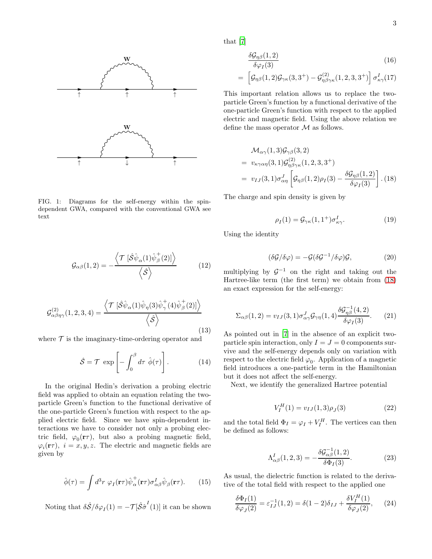

FIG. 1: Diagrams for the self-energy within the spindependent GWA, compared with the conventional GWA see text

$$
\mathcal{G}_{\alpha\beta}(1,2) = -\frac{\left\langle \mathcal{T} \left[ \hat{\mathcal{S}} \hat{\psi}_{\alpha}(1) \hat{\psi}_{\beta}^{\dagger}(2) \right] \right\rangle}{\left\langle \hat{\mathcal{S}} \right\rangle} \tag{12}
$$

$$
\mathcal{G}^{(2)}_{\alpha\beta\eta\gamma}(1,2,3,4) = \frac{\left\langle \mathcal{T} \left[ \hat{\mathcal{S}} \hat{\psi}_{\alpha}(1) \hat{\psi}_{\eta}(3) \hat{\psi}_{\gamma}^+(4) \hat{\psi}_{\beta}^+(2) \right] \right\rangle}{\left\langle \hat{\mathcal{S}} \right\rangle} \tag{13}
$$

where  $\mathcal T$  is the imaginary-time-ordering operator and

$$
\hat{S} = \mathcal{T} \exp\left[-\int_0^\beta d\tau \ \hat{\phi}(\tau)\right]. \tag{14}
$$

In the original Hedin's derivation a probing electric field was applied to obtain an equation relating the twoparticle Green's function to the functional derivative of the one-particle Green's function with respect to the applied electric field. Since we have spin-dependent interactions we have to consider not only a probing electric field,  $\varphi_0(\mathbf{r}\tau)$ , but also a probing magnetic field,  $\varphi_i(\mathbf{r}\tau)$ ,  $i = x, y, z$ . The electric and magnetic fields are given by

$$
\hat{\phi}(\tau) = \int d^3r \ \varphi_I(\mathbf{r}\tau) \hat{\psi}^+_{\alpha}(\mathbf{r}\tau) \sigma^I_{\alpha\beta} \hat{\psi}_{\beta}(\mathbf{r}\tau). \tag{15}
$$

Noting that  $\delta \hat{S} / \delta \varphi_I(1) = -\mathcal{T}[\hat{S} \hat{\sigma}^I(1)]$  it can be shown

that [\[7](#page-4-6)]

$$
\frac{\delta \mathcal{G}_{\eta\beta}(1,2)}{\delta \varphi_I(3)}\tag{16}
$$

$$
= \left[ \mathcal{G}_{\eta\beta}(1,2)\mathcal{G}_{\gamma\kappa}(3,3^+) - \mathcal{G}^{(2)}_{\eta\beta\gamma\kappa}(1,2,3,3^+)\right] \sigma^I_{\kappa\gamma}(17)
$$

This important relation allows us to replace the twoparticle Green's function by a functional derivative of the one-particle Green's function with respect to the applied electric and magnetic field. Using the above relation we define the mass operator  $M$  as follows.

<span id="page-2-0"></span>
$$
\mathcal{M}_{\alpha\gamma}(1,3)\mathcal{G}_{\gamma\beta}(3,2)
$$
\n
$$
= v_{\kappa\gamma\alpha\eta}(3,1)\mathcal{G}_{\eta\beta\gamma\kappa}^{(2)}(1,2,3,3^+)
$$
\n
$$
= v_{IJ}(3,1)\sigma_{\alpha\eta}^J \left[\mathcal{G}_{\eta\beta}(1,2)\rho_I(3) - \frac{\delta \mathcal{G}_{\eta\beta}(1,2)}{\delta \varphi_I(3)}\right]. (18)
$$

The charge and spin density is given by

<span id="page-2-4"></span>
$$
\rho_I(1) = \mathcal{G}_{\gamma\kappa}(1, 1^+) \sigma^I_{\kappa\gamma}.
$$
 (19)

Using the identity

<span id="page-2-2"></span>
$$
(\delta \mathcal{G}/\delta \varphi) = -\mathcal{G}(\delta \mathcal{G}^{-1}/\delta \varphi)\mathcal{G},\tag{20}
$$

multiplying by  $\mathcal{G}^{-1}$  on the right and taking out the Hartree-like term (the first term) we obtain from [\(18\)](#page-2-0) an exact expression for the self-energy:

<span id="page-2-1"></span>
$$
\Sigma_{\alpha\beta}(1,2) = v_{IJ}(3,1)\sigma_{\alpha\gamma}^J \mathcal{G}_{\gamma\eta}(1,4) \frac{\delta \mathcal{G}_{\eta\beta}^{-1}(4,2)}{\delta \varphi_I(3)}.
$$
 (21)

As pointed out in [\[7](#page-4-6)] in the absence of an explicit twoparticle spin interaction, only  $I = J = 0$  components survive and the self-energy depends only on variation with respect to the electric field  $\varphi_0$ . Application of a magnetic field introduces a one-particle term in the Hamiltonian but it does not affect the self-energy.

Next, we identify the generalized Hartree potential

$$
V_I^H(1) = v_{IJ}(1,3)\rho_J(3) \tag{22}
$$

and the total field  $\Phi_I = \varphi_I + V_I^H$ . The vertices can then be defined as follows:

<span id="page-2-3"></span>
$$
\Lambda^I_{\alpha\beta}(1,2,3) = -\frac{\delta \mathcal{G}^{-1}_{\alpha\beta}(1,2)}{\delta \Phi_I(3)}.
$$
\n(23)

As usual, the dielectric function is related to the derivative of the total field with respect to the applied one

<span id="page-2-5"></span>
$$
\frac{\delta \Phi_I(1)}{\delta \varphi_J(2)} = \varepsilon_{IJ}^{-1}(1,2) = \delta(1-2)\delta_{IJ} + \frac{\delta V_I^H(1)}{\delta \varphi_J(2)},\qquad(24)
$$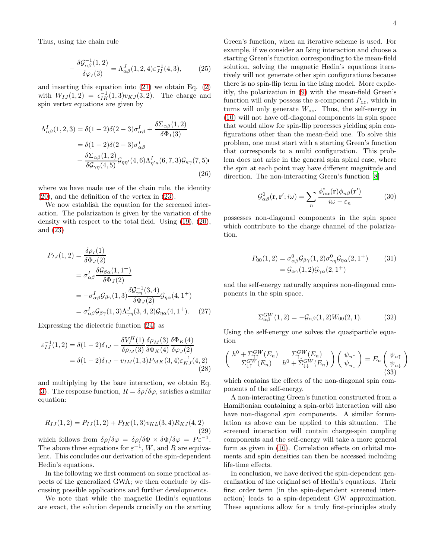Thus, using the chain rule

$$
-\frac{\delta \mathcal{G}_{\alpha\beta}^{-1}(1,2)}{\delta \varphi_I(3)} = \Lambda_{\alpha\beta}^J(1,2,4)\varepsilon_{JI}^{-1}(4,3),\tag{25}
$$

and inserting this equation into [\(21\)](#page-2-1) we obtain Eq. [\(2\)](#page-0-0) with  $W_{IJ}(1,2) = \epsilon_{IK}^{-1}(1,3)v_{KJ}(3,2)$ . The charge and spin vertex equations are given by

$$
\Lambda^{I}_{\alpha\beta}(1,2,3) = \delta(1-2)\delta(2-3)\sigma^{I}_{\alpha\beta} + \frac{\delta \Sigma_{\alpha\beta}(1,2)}{\delta \Phi_{I}(3)}
$$
  
=  $\delta(1-2)\delta(2-3)\sigma^{I}_{\alpha\beta}$   
+  $\frac{\delta \Sigma_{\alpha\beta}(1,2)}{\delta \mathcal{G}_{\gamma\eta}(4,5)} \mathcal{G}_{\eta\eta'}(4,6)\Lambda^{I}_{\eta'\kappa}(6,7,3)\mathcal{G}_{\kappa\gamma}(7,5)$  (26)

where we have made use of the chain rule, the identity [\(20\)](#page-2-2), and the definition of the vertex in [\(23\)](#page-2-3).

We now establish the equation for the screened interaction. The polarization is given by the variation of the density with respect to the total field. Using [\(19\)](#page-2-4), [\(20\)](#page-2-2), and [\(23\)](#page-2-3)

$$
P_{IJ}(1,2) = \frac{\delta \rho_I(1)}{\delta \Phi_J(2)}
$$
  
=  $\sigma_{\alpha\beta}^I \frac{\delta \mathcal{G}_{\beta\alpha}(1,1^+)}{\delta \Phi_J(2)}$   
=  $-\sigma_{\alpha\beta}^I \mathcal{G}_{\beta\gamma}(1,3) \frac{\delta \mathcal{G}_{\gamma\eta}^{-1}(3,4)}{\delta \Phi_J(2)} \mathcal{G}_{\eta\alpha}(4,1^+) =  $\sigma_{\alpha\beta}^I \mathcal{G}_{\beta\gamma}(1,3) \Lambda_{\gamma\eta}^J(3,4,2) \mathcal{G}_{\eta\alpha}(4,1^+).$  (27)$ 

Expressing the dielectric function [\(24\)](#page-2-5) as

$$
\varepsilon_{IJ}^{-1}(1,2) = \delta(1-2)\delta_{IJ} + \frac{\delta V_I^H(1)}{\delta \rho_M(3)} \frac{\delta \rho_M(3)}{\delta \Phi_K(4)} \frac{\delta \Phi_K(4)}{\delta \varphi_J(2)} \n= \delta(1-2)\delta_{IJ} + v_{IM}(1,3)P_{MK}(3,4)\varepsilon_{KJ}^{-1}(4,2)
$$
\n(28)

and multiplying by the bare interaction, we obtain Eq. [\(3\)](#page-1-1). The response function,  $R = \delta \rho / \delta \varphi$ , satisfies a similar equation:

$$
R_{IJ}(1,2) = P_{IJ}(1,2) + P_{IK}(1,3)v_{KL}(3,4)R_{KJ}(4,2)
$$
\n(29)

\nwhich follows from  $\delta\rho/\delta\varphi = \delta\rho/\delta\Phi \times \delta\Phi/\delta\varphi = P\varepsilon^{-1}$ . The above three equations for  $\varepsilon^{-1}$ ,  $W$ , and  $R$  are equivalent. This concludes our derivation of the spin-dependent Hedin's equations.

In the following we first comment on some practical aspects of the generalized GWA; we then conclude by discussing possible applications and further developments.

We note that while the magnetic Hedin's equations are exact, the solution depends crucially on the starting 4

Green's function, when an iterative scheme is used. For example, if we consider an Ising interaction and choose a starting Green's function corresponding to the mean-field solution, solving the magnetic Hedin's equations iteratively will not generate other spin configurations because there is no spin-flip term in the Ising model. More explicitly, the polarization in [\(9\)](#page-1-2) with the mean-field Green's function will only possess the z-component  $P_{zz}$ , which in turns will only generate  $W_{zz}$ . Thus, the self-energy in [\(10\)](#page-1-3) will not have off-diagonal components in spin space that would allow for spin-flip processes yielding spin configurations other than the mean-field one. To solve this problem, one must start with a starting Green's function that corresponds to a multi configuration. This problem does not arise in the general spin spiral case, where the spin at each point may have different magnitude and direction. The non-interacting Green's function [\[8](#page-4-7)]

$$
\mathcal{G}^{0}_{\alpha\beta}(\mathbf{r}, \mathbf{r}'; i\omega) = \sum_{n} \frac{\phi_{n\alpha}^{*}(\mathbf{r})\phi_{n\beta}(\mathbf{r}')}{i\omega - \varepsilon_n}
$$
(30)

possesses non-diagonal components in the spin space which contribute to the charge channel of the polarization.

$$
P_{00}(1,2) = \sigma_{\alpha\beta}^0 \mathcal{G}_{\beta\gamma}(1,2) \sigma_{\gamma\eta}^0 \mathcal{G}_{\eta\alpha}(2,1^+) \tag{31}
$$

$$
= \mathcal{G}_{\alpha\gamma}(1,2) \mathcal{G}_{\gamma\alpha}(2,1^+)
$$

and the self-energy naturally acquires non-diagonal components in the spin space.

$$
\Sigma_{\alpha\beta}^{GW}(1,2) = -\mathcal{G}_{\alpha\beta}(1,2)W_{00}(2,1). \tag{32}
$$

Using the self-energy one solves the quasiparticle equation

$$
\begin{pmatrix}\nh^0 + \Sigma_{\uparrow\uparrow}^{GW}(E_n) & \Sigma_{\uparrow\downarrow}^{GW}(E_n) \\
\Sigma_{\downarrow\uparrow}^{GW}(E_n) & h^0 + \Sigma_{\downarrow\downarrow}^{GW}(E_n)\n\end{pmatrix}\n\begin{pmatrix}\n\psi_{n\uparrow} \\
\psi_{n\downarrow}\n\end{pmatrix} = E_n \begin{pmatrix}\n\psi_{n\uparrow} \\
\psi_{n\downarrow}\n\end{pmatrix}
$$
\n(33)

which contains the effects of the non-diagonal spin components of the self-energy.

A non-interacting Green's function constructed from a Hamiltonian containing a spin-orbit interaction will also have non-diagonal spin components. A similar formulation as above can be applied to this situation. The screened interaction will contain charge-spin coupling components and the self-energy will take a more general form as given in [\(10\)](#page-1-3). Correlation effects on orbital moments and spin densities can then be accessed including life-time effects.

In conclusion, we have derived the spin-dependent generalization of the original set of Hedin's equations. Their first order term (in the spin-dependent screened interaction) leads to a spin-dependent GW approximation. These equations allow for a truly first-principles study